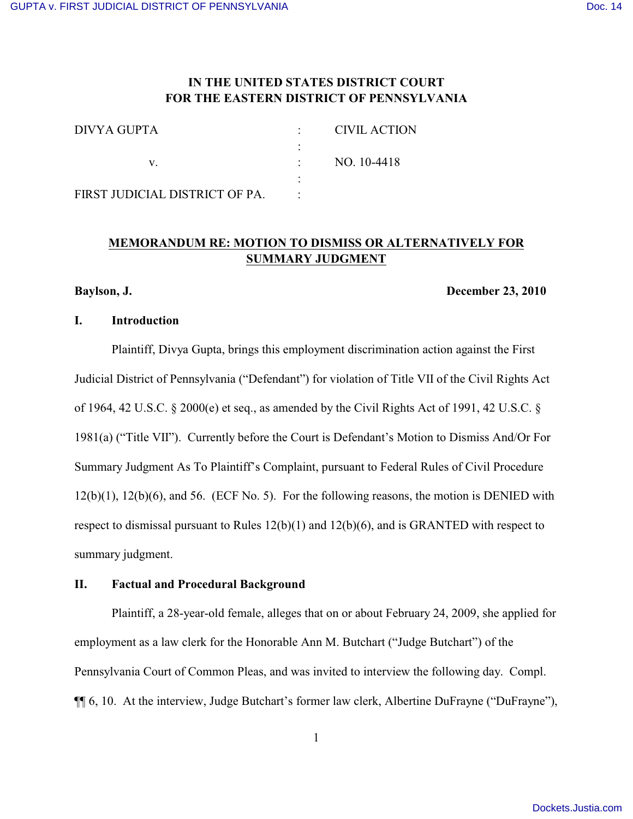# **IN THE UNITED STATES DISTRICT COURT FOR THE EASTERN DISTRICT OF PENNSYLVANIA**

| DIVYA GUPTA                    | CIVIL ACTION |
|--------------------------------|--------------|
|                                |              |
|                                | NO. 10-4418  |
|                                |              |
| FIRST JUDICIAL DISTRICT OF PA. |              |

# **MEMORANDUM RE: MOTION TO DISMISS OR ALTERNATIVELY FOR SUMMARY JUDGMENT**

#### **Baylson, J. December 23, 2010**

#### **I. Introduction**

Plaintiff, Divya Gupta, brings this employment discrimination action against the First Judicial District of Pennsylvania ("Defendant") for violation of Title VII of the Civil Rights Act of 1964, 42 U.S.C. § 2000(e) et seq., as amended by the Civil Rights Act of 1991, 42 U.S.C. § 1981(a) ("Title VII"). Currently before the Court is Defendant's Motion to Dismiss And/Or For Summary Judgment As To Plaintiff's Complaint, pursuant to Federal Rules of Civil Procedure 12(b)(1), 12(b)(6), and 56. (ECF No. 5). For the following reasons, the motion is DENIED with respect to dismissal pursuant to Rules 12(b)(1) and 12(b)(6), and is GRANTED with respect to summary judgment.

#### **II. Factual and Procedural Background**

Plaintiff, a 28-year-old female, alleges that on or about February 24, 2009, she applied for employment as a law clerk for the Honorable Ann M. Butchart ("Judge Butchart") of the Pennsylvania Court of Common Pleas, and was invited to interview the following day. Compl. ¶¶ 6, 10. At the interview, Judge Butchart's former law clerk, Albertine DuFrayne ("DuFrayne"),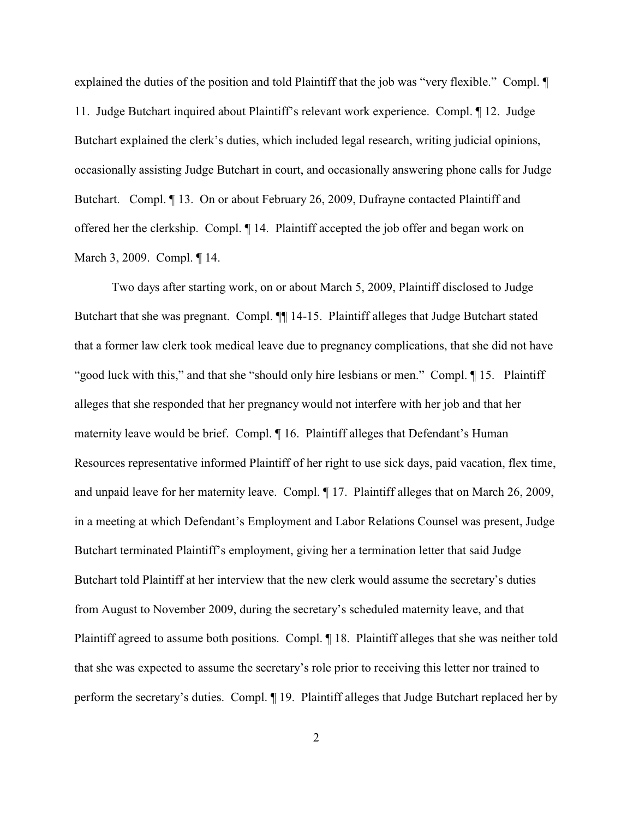explained the duties of the position and told Plaintiff that the job was "very flexible." Compl. ¶ 11. Judge Butchart inquired about Plaintiff's relevant work experience. Compl. ¶ 12. Judge Butchart explained the clerk's duties, which included legal research, writing judicial opinions, occasionally assisting Judge Butchart in court, and occasionally answering phone calls for Judge Butchart. Compl. ¶ 13. On or about February 26, 2009, Dufrayne contacted Plaintiff and offered her the clerkship. Compl. ¶ 14. Plaintiff accepted the job offer and began work on March 3, 2009. Compl. ¶ 14.

Two days after starting work, on or about March 5, 2009, Plaintiff disclosed to Judge Butchart that she was pregnant. Compl.  $\P$  14-15. Plaintiff alleges that Judge Butchart stated that a former law clerk took medical leave due to pregnancy complications, that she did not have "good luck with this," and that she "should only hire lesbians or men." Compl. ¶ 15. Plaintiff alleges that she responded that her pregnancy would not interfere with her job and that her maternity leave would be brief. Compl. ¶ 16. Plaintiff alleges that Defendant's Human Resources representative informed Plaintiff of her right to use sick days, paid vacation, flex time, and unpaid leave for her maternity leave. Compl. ¶ 17. Plaintiff alleges that on March 26, 2009, in a meeting at which Defendant's Employment and Labor Relations Counsel was present, Judge Butchart terminated Plaintiff's employment, giving her a termination letter that said Judge Butchart told Plaintiff at her interview that the new clerk would assume the secretary's duties from August to November 2009, during the secretary's scheduled maternity leave, and that Plaintiff agreed to assume both positions. Compl. ¶ 18. Plaintiff alleges that she was neither told that she was expected to assume the secretary's role prior to receiving this letter nor trained to perform the secretary's duties. Compl. ¶ 19. Plaintiff alleges that Judge Butchart replaced her by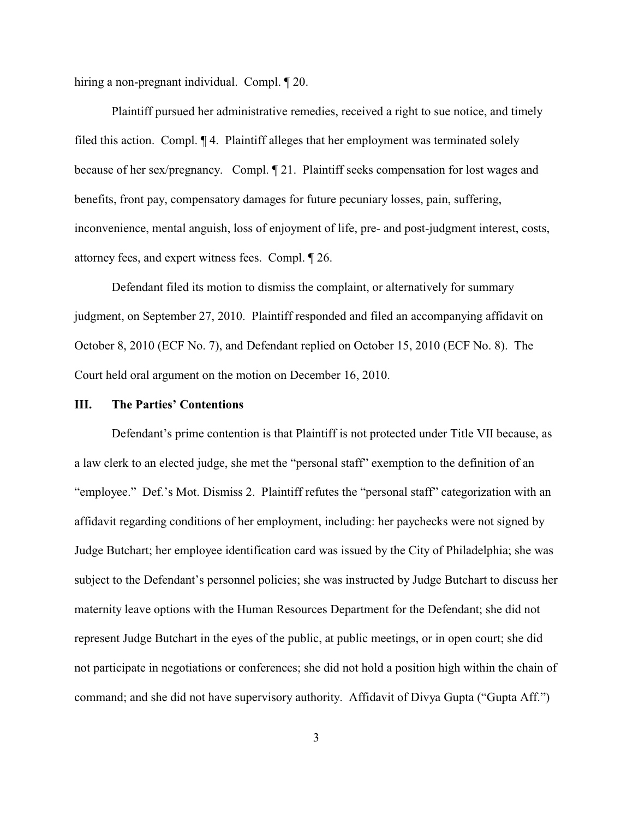hiring a non-pregnant individual. Compl. ¶ 20.

Plaintiff pursued her administrative remedies, received a right to sue notice, and timely filed this action. Compl. ¶ 4. Plaintiff alleges that her employment was terminated solely because of her sex/pregnancy. Compl. ¶ 21. Plaintiff seeks compensation for lost wages and benefits, front pay, compensatory damages for future pecuniary losses, pain, suffering, inconvenience, mental anguish, loss of enjoyment of life, pre- and post-judgment interest, costs, attorney fees, and expert witness fees. Compl. ¶ 26.

Defendant filed its motion to dismiss the complaint, or alternatively for summary judgment, on September 27, 2010. Plaintiff responded and filed an accompanying affidavit on October 8, 2010 (ECF No. 7), and Defendant replied on October 15, 2010 (ECF No. 8). The Court held oral argument on the motion on December 16, 2010.

## **III. The Parties' Contentions**

Defendant's prime contention is that Plaintiff is not protected under Title VII because, as a law clerk to an elected judge, she met the "personal staff" exemption to the definition of an "employee." Def.'s Mot. Dismiss 2. Plaintiff refutes the "personal staff" categorization with an affidavit regarding conditions of her employment, including: her paychecks were not signed by Judge Butchart; her employee identification card was issued by the City of Philadelphia; she was subject to the Defendant's personnel policies; she was instructed by Judge Butchart to discuss her maternity leave options with the Human Resources Department for the Defendant; she did not represent Judge Butchart in the eyes of the public, at public meetings, or in open court; she did not participate in negotiations or conferences; she did not hold a position high within the chain of command; and she did not have supervisory authority. Affidavit of Divya Gupta ("Gupta Aff.")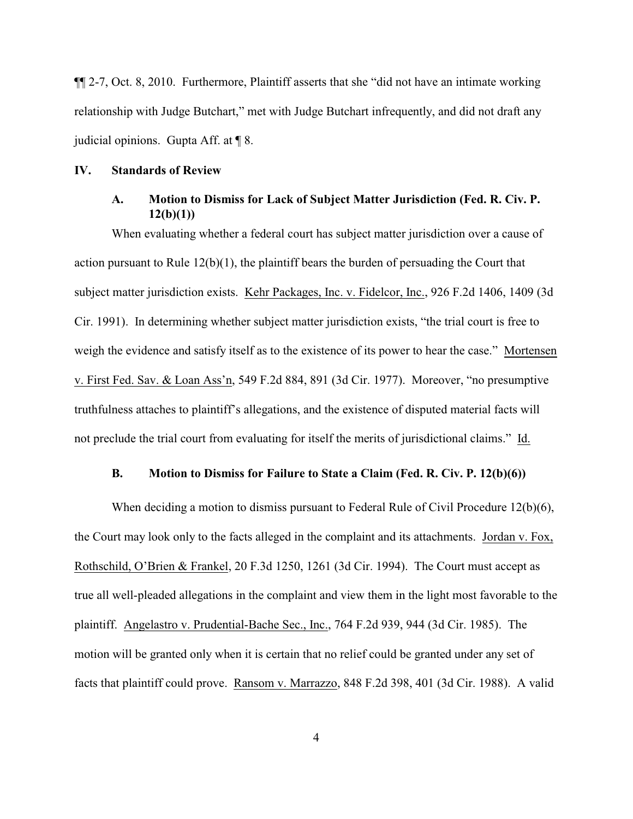¶¶ 2-7, Oct. 8, 2010. Furthermore, Plaintiff asserts that she "did not have an intimate working relationship with Judge Butchart," met with Judge Butchart infrequently, and did not draft any judicial opinions. Gupta Aff. at ¶ 8.

#### **IV. Standards of Review**

## **A. Motion to Dismiss for Lack of Subject Matter Jurisdiction (Fed. R. Civ. P. 12(b)(1))**

When evaluating whether a federal court has subject matter jurisdiction over a cause of action pursuant to Rule 12(b)(1), the plaintiff bears the burden of persuading the Court that subject matter jurisdiction exists. Kehr Packages, Inc. v. Fidelcor, Inc., 926 F.2d 1406, 1409 (3d Cir. 1991). In determining whether subject matter jurisdiction exists, "the trial court is free to weigh the evidence and satisfy itself as to the existence of its power to hear the case." Mortensen v. First Fed. Sav. & Loan Ass'n, 549 F.2d 884, 891 (3d Cir. 1977). Moreover, "no presumptive truthfulness attaches to plaintiff's allegations, and the existence of disputed material facts will not preclude the trial court from evaluating for itself the merits of jurisdictional claims." Id.

## **B. Motion to Dismiss for Failure to State a Claim (Fed. R. Civ. P. 12(b)(6))**

When deciding a motion to dismiss pursuant to Federal Rule of Civil Procedure 12(b)(6), the Court may look only to the facts alleged in the complaint and its attachments. Jordan v. Fox, Rothschild, O'Brien & Frankel, 20 F.3d 1250, 1261 (3d Cir. 1994). The Court must accept as true all well-pleaded allegations in the complaint and view them in the light most favorable to the plaintiff. Angelastro v. Prudential-Bache Sec., Inc., 764 F.2d 939, 944 (3d Cir. 1985). The motion will be granted only when it is certain that no relief could be granted under any set of facts that plaintiff could prove. Ransom v. Marrazzo, 848 F.2d 398, 401 (3d Cir. 1988). A valid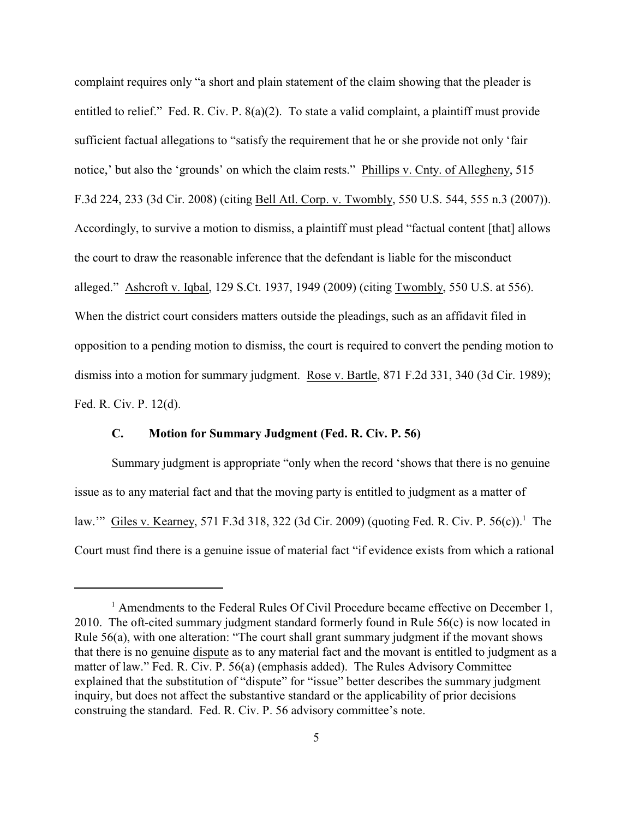complaint requires only "a short and plain statement of the claim showing that the pleader is entitled to relief." Fed. R. Civ. P. 8(a)(2). To state a valid complaint, a plaintiff must provide sufficient factual allegations to "satisfy the requirement that he or she provide not only 'fair notice,' but also the 'grounds' on which the claim rests." Phillips v. Cnty. of Allegheny, 515 F.3d 224, 233 (3d Cir. 2008) (citing Bell Atl. Corp. v. Twombly, 550 U.S. 544, 555 n.3 (2007)). Accordingly, to survive a motion to dismiss, a plaintiff must plead "factual content [that] allows the court to draw the reasonable inference that the defendant is liable for the misconduct alleged." Ashcroft v. Iqbal, 129 S.Ct. 1937, 1949 (2009) (citing Twombly, 550 U.S. at 556). When the district court considers matters outside the pleadings, such as an affidavit filed in opposition to a pending motion to dismiss, the court is required to convert the pending motion to dismiss into a motion for summary judgment. Rose v. Bartle, 871 F.2d 331, 340 (3d Cir. 1989); Fed. R. Civ. P. 12(d).

## **C. Motion for Summary Judgment (Fed. R. Civ. P. 56)**

Summary judgment is appropriate "only when the record 'shows that there is no genuine issue as to any material fact and that the moving party is entitled to judgment as a matter of law." Giles v. Kearney, 571 F.3d 318, 322 (3d Cir. 2009) (quoting Fed. R. Civ. P. 56(c)).<sup>1</sup> The Court must find there is a genuine issue of material fact "if evidence exists from which a rational

 $\frac{1}{1}$  Amendments to the Federal Rules Of Civil Procedure became effective on December 1, 2010. The oft-cited summary judgment standard formerly found in Rule 56(c) is now located in Rule 56(a), with one alteration: "The court shall grant summary judgment if the movant shows that there is no genuine dispute as to any material fact and the movant is entitled to judgment as a matter of law." Fed. R. Civ. P. 56(a) (emphasis added). The Rules Advisory Committee explained that the substitution of "dispute" for "issue" better describes the summary judgment inquiry, but does not affect the substantive standard or the applicability of prior decisions construing the standard. Fed. R. Civ. P. 56 advisory committee's note.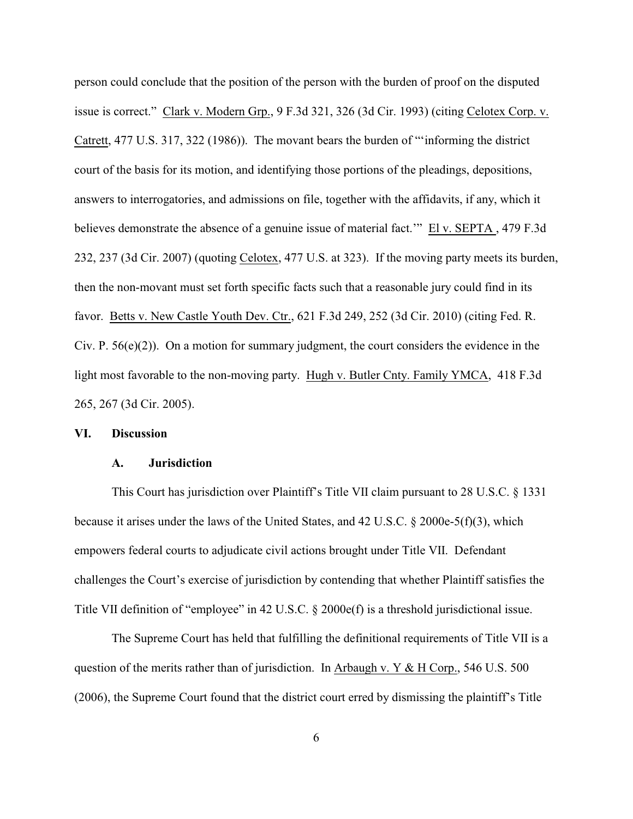person could conclude that the position of the person with the burden of proof on the disputed issue is correct." Clark v. Modern Grp., 9 F.3d 321, 326 (3d Cir. 1993) (citing Celotex Corp. v. Catrett, 477 U.S. 317, 322 (1986)). The movant bears the burden of "'informing the district court of the basis for its motion, and identifying those portions of the pleadings, depositions, answers to interrogatories, and admissions on file, together with the affidavits, if any, which it believes demonstrate the absence of a genuine issue of material fact.'" El v. SEPTA , 479 F.3d 232, 237 (3d Cir. 2007) (quoting Celotex, 477 U.S. at 323). If the moving party meets its burden, then the non-movant must set forth specific facts such that a reasonable jury could find in its favor. Betts v. New Castle Youth Dev. Ctr., 621 F.3d 249, 252 (3d Cir. 2010) (citing Fed. R. Civ. P.  $56(e)(2)$ ). On a motion for summary judgment, the court considers the evidence in the light most favorable to the non-moving party. Hugh v. Butler Cnty. Family YMCA, 418 F.3d 265, 267 (3d Cir. 2005).

## **VI. Discussion**

## **A. Jurisdiction**

This Court has jurisdiction over Plaintiff's Title VII claim pursuant to 28 U.S.C. § 1331 because it arises under the laws of the United States, and 42 U.S.C. § 2000e-5(f)(3), which empowers federal courts to adjudicate civil actions brought under Title VII. Defendant challenges the Court's exercise of jurisdiction by contending that whether Plaintiff satisfies the Title VII definition of "employee" in 42 U.S.C. § 2000e(f) is a threshold jurisdictional issue.

The Supreme Court has held that fulfilling the definitional requirements of Title VII is a question of the merits rather than of jurisdiction. In Arbaugh v. Y & H Corp., 546 U.S. 500 (2006), the Supreme Court found that the district court erred by dismissing the plaintiff's Title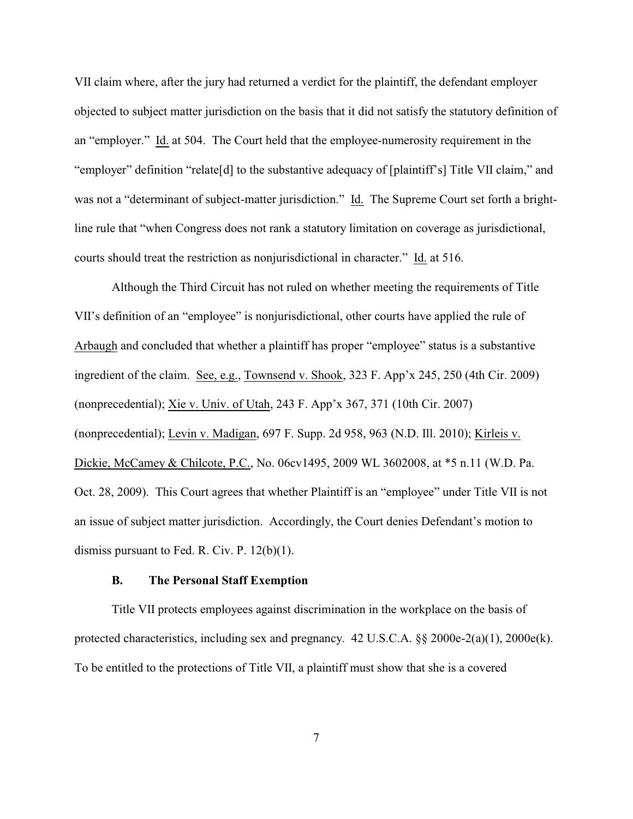VII claim where, after the jury had returned a verdict for the plaintiff, the defendant employer objected to subject matter jurisdiction on the basis that it did not satisfy the statutory definition of an "employer." Id. at 504. The Court held that the employee-numerosity requirement in the "employer" definition "relate[d] to the substantive adequacy of [plaintiff's] Title VII claim," and was not a "determinant of subject-matter jurisdiction." Id. The Supreme Court set forth a brightline rule that "when Congress does not rank a statutory limitation on coverage as jurisdictional, courts should treat the restriction as nonjurisdictional in character." Id. at 516.

Although the Third Circuit has not ruled on whether meeting the requirements of Title VII's definition of an "employee" is nonjurisdictional, other courts have applied the rule of Arbaugh and concluded that whether a plaintiff has proper "employee" status is a substantive ingredient of the claim. See, e.g., Townsend v. Shook, 323 F. App'x 245, 250 (4th Cir. 2009) (nonprecedential); Xie v. Univ. of Utah, 243 F. App'x 367, 371 (10th Cir. 2007) (nonprecedential); Levin v. Madigan, 697 F. Supp. 2d 958, 963 (N.D. Ill. 2010); Kirleis v. Dickie, McCamey & Chilcote, P.C., No. 06cv1495, 2009 WL 3602008, at \*5 n.11 (W.D. Pa. Oct. 28, 2009). This Court agrees that whether Plaintiff is an "employee" under Title VII is not an issue of subject matter jurisdiction. Accordingly, the Court denies Defendant's motion to dismiss pursuant to Fed. R. Civ. P. 12(b)(1).

## **B. The Personal Staff Exemption**

Title VII protects employees against discrimination in the workplace on the basis of protected characteristics, including sex and pregnancy. 42 U.S.C.A. §§ 2000e-2(a)(1), 2000e(k). To be entitled to the protections of Title VII, a plaintiff must show that she is a covered

7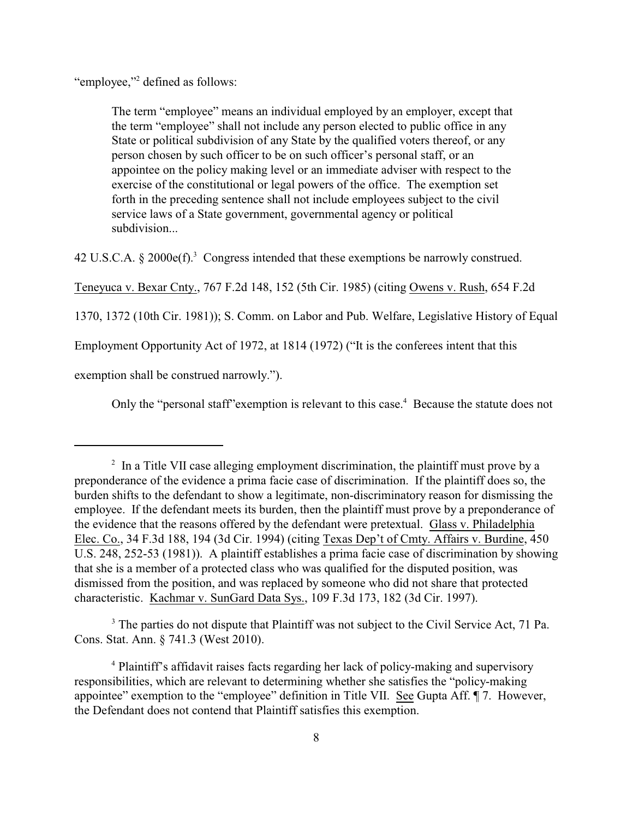"employee,"<sup>2</sup> defined as follows:

The term "employee" means an individual employed by an employer, except that the term "employee" shall not include any person elected to public office in any State or political subdivision of any State by the qualified voters thereof, or any person chosen by such officer to be on such officer's personal staff, or an appointee on the policy making level or an immediate adviser with respect to the exercise of the constitutional or legal powers of the office. The exemption set forth in the preceding sentence shall not include employees subject to the civil service laws of a State government, governmental agency or political subdivision...

42 U.S.C.A.  $\S 2000e(f)^3$  Congress intended that these exemptions be narrowly construed.

Teneyuca v. Bexar Cnty., 767 F.2d 148, 152 (5th Cir. 1985) (citing Owens v. Rush, 654 F.2d

1370, 1372 (10th Cir. 1981)); S. Comm. on Labor and Pub. Welfare, Legislative History of Equal

Employment Opportunity Act of 1972, at 1814 (1972) ("It is the conferees intent that this

exemption shall be construed narrowly.").

Only the "personal staff" exemption is relevant to this case.<sup>4</sup> Because the statute does not

<sup>3</sup> The parties do not dispute that Plaintiff was not subject to the Civil Service Act, 71 Pa. Cons. Stat. Ann. § 741.3 (West 2010).

 $\frac{1}{2}$  In a Title VII case alleging employment discrimination, the plaintiff must prove by a preponderance of the evidence a prima facie case of discrimination. If the plaintiff does so, the burden shifts to the defendant to show a legitimate, non-discriminatory reason for dismissing the employee. If the defendant meets its burden, then the plaintiff must prove by a preponderance of the evidence that the reasons offered by the defendant were pretextual. Glass v. Philadelphia Elec. Co., 34 F.3d 188, 194 (3d Cir. 1994) (citing Texas Dep't of Cmty. Affairs v. Burdine, 450 U.S. 248, 252-53 (1981)). A plaintiff establishes a prima facie case of discrimination by showing that she is a member of a protected class who was qualified for the disputed position, was dismissed from the position, and was replaced by someone who did not share that protected characteristic. Kachmar v. SunGard Data Sys., 109 F.3d 173, 182 (3d Cir. 1997).

<sup>&</sup>lt;sup>4</sup> Plaintiff's affidavit raises facts regarding her lack of policy-making and supervisory responsibilities, which are relevant to determining whether she satisfies the "policy-making appointee" exemption to the "employee" definition in Title VII. See Gupta Aff. ¶ 7. However, the Defendant does not contend that Plaintiff satisfies this exemption.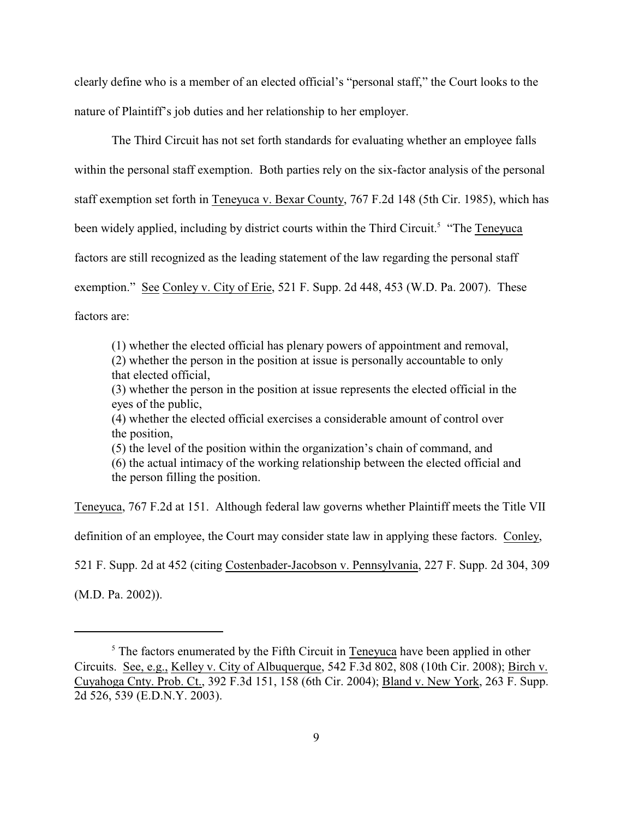clearly define who is a member of an elected official's "personal staff," the Court looks to the nature of Plaintiff's job duties and her relationship to her employer.

The Third Circuit has not set forth standards for evaluating whether an employee falls within the personal staff exemption. Both parties rely on the six-factor analysis of the personal staff exemption set forth in Teneyuca v. Bexar County, 767 F.2d 148 (5th Cir. 1985), which has been widely applied, including by district courts within the Third Circuit.<sup>5</sup> "The Teneyuca" factors are still recognized as the leading statement of the law regarding the personal staff exemption." See Conley v. City of Erie, 521 F. Supp. 2d 448, 453 (W.D. Pa. 2007). These factors are:

(1) whether the elected official has plenary powers of appointment and removal, (2) whether the person in the position at issue is personally accountable to only that elected official,

(3) whether the person in the position at issue represents the elected official in the eyes of the public,

(4) whether the elected official exercises a considerable amount of control over the position,

(5) the level of the position within the organization's chain of command, and

(6) the actual intimacy of the working relationship between the elected official and the person filling the position.

Teneyuca, 767 F.2d at 151. Although federal law governs whether Plaintiff meets the Title VII

definition of an employee, the Court may consider state law in applying these factors. Conley,

521 F. Supp. 2d at 452 (citing Costenbader-Jacobson v. Pennsylvania, 227 F. Supp. 2d 304, 309

(M.D. Pa. 2002)).

 $<sup>5</sup>$  The factors enumerated by the Fifth Circuit in Teneyuca have been applied in other</sup> Circuits. See, e.g., Kelley v. City of Albuquerque, 542 F.3d 802, 808 (10th Cir. 2008); Birch v. Cuyahoga Cnty. Prob. Ct., 392 F.3d 151, 158 (6th Cir. 2004); Bland v. New York, 263 F. Supp. 2d 526, 539 (E.D.N.Y. 2003).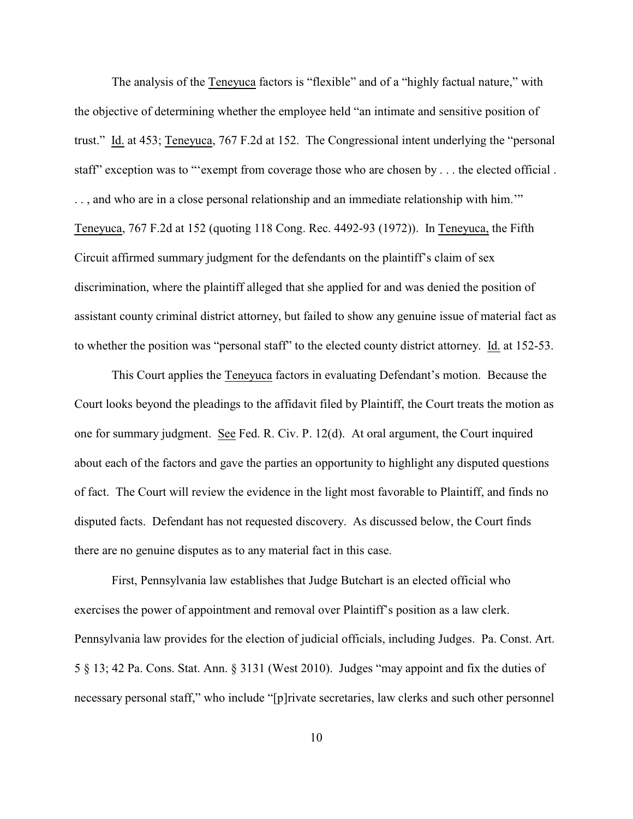The analysis of the Teneyuca factors is "flexible" and of a "highly factual nature," with the objective of determining whether the employee held "an intimate and sensitive position of trust." Id. at 453; Teneyuca, 767 F.2d at 152. The Congressional intent underlying the "personal staff" exception was to "'exempt from coverage those who are chosen by . . . the elected official . . . , and who are in a close personal relationship and an immediate relationship with him.'" Teneyuca, 767 F.2d at 152 (quoting 118 Cong. Rec. 4492-93 (1972)). In Teneyuca, the Fifth Circuit affirmed summary judgment for the defendants on the plaintiff's claim of sex discrimination, where the plaintiff alleged that she applied for and was denied the position of assistant county criminal district attorney, but failed to show any genuine issue of material fact as to whether the position was "personal staff" to the elected county district attorney. Id. at 152-53.

This Court applies the Teneyuca factors in evaluating Defendant's motion. Because the Court looks beyond the pleadings to the affidavit filed by Plaintiff, the Court treats the motion as one for summary judgment. See Fed. R. Civ. P. 12(d). At oral argument, the Court inquired about each of the factors and gave the parties an opportunity to highlight any disputed questions of fact. The Court will review the evidence in the light most favorable to Plaintiff, and finds no disputed facts. Defendant has not requested discovery. As discussed below, the Court finds there are no genuine disputes as to any material fact in this case.

First, Pennsylvania law establishes that Judge Butchart is an elected official who exercises the power of appointment and removal over Plaintiff's position as a law clerk. Pennsylvania law provides for the election of judicial officials, including Judges. Pa. Const. Art. 5 § 13; 42 Pa. Cons. Stat. Ann. § 3131 (West 2010). Judges "may appoint and fix the duties of necessary personal staff," who include "[p]rivate secretaries, law clerks and such other personnel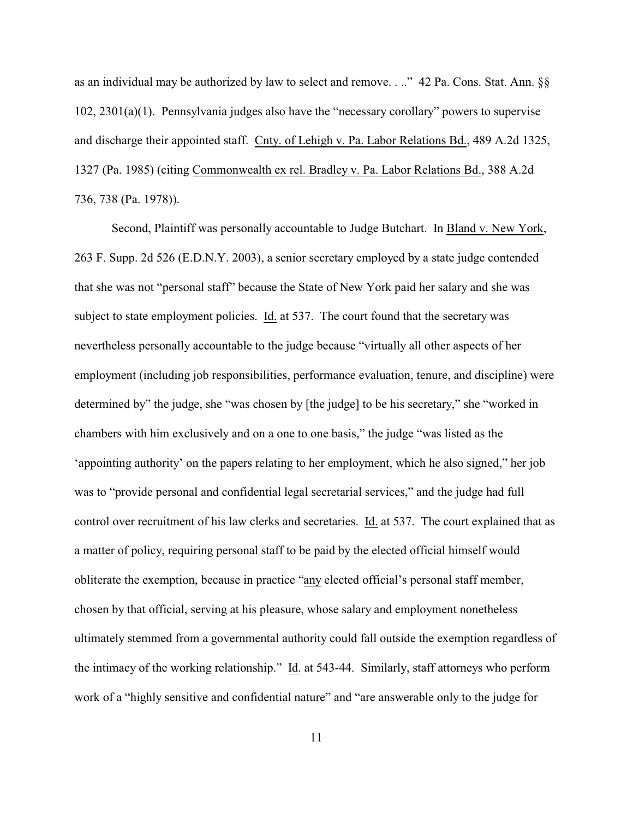as an individual may be authorized by law to select and remove. . .." 42 Pa. Cons. Stat. Ann. §§ 102, 2301(a)(1). Pennsylvania judges also have the "necessary corollary" powers to supervise and discharge their appointed staff. Cnty. of Lehigh v. Pa. Labor Relations Bd., 489 A.2d 1325, 1327 (Pa. 1985) (citing Commonwealth ex rel. Bradley v. Pa. Labor Relations Bd., 388 A.2d 736, 738 (Pa. 1978)).

Second, Plaintiff was personally accountable to Judge Butchart. In Bland v. New York, 263 F. Supp. 2d 526 (E.D.N.Y. 2003), a senior secretary employed by a state judge contended that she was not "personal staff" because the State of New York paid her salary and she was subject to state employment policies. Id. at 537. The court found that the secretary was nevertheless personally accountable to the judge because "virtually all other aspects of her employment (including job responsibilities, performance evaluation, tenure, and discipline) were determined by" the judge, she "was chosen by [the judge] to be his secretary," she "worked in chambers with him exclusively and on a one to one basis," the judge "was listed as the 'appointing authority' on the papers relating to her employment, which he also signed," her job was to "provide personal and confidential legal secretarial services," and the judge had full control over recruitment of his law clerks and secretaries. Id. at 537. The court explained that as a matter of policy, requiring personal staff to be paid by the elected official himself would obliterate the exemption, because in practice "any elected official's personal staff member, chosen by that official, serving at his pleasure, whose salary and employment nonetheless ultimately stemmed from a governmental authority could fall outside the exemption regardless of the intimacy of the working relationship." Id. at 543-44. Similarly, staff attorneys who perform work of a "highly sensitive and confidential nature" and "are answerable only to the judge for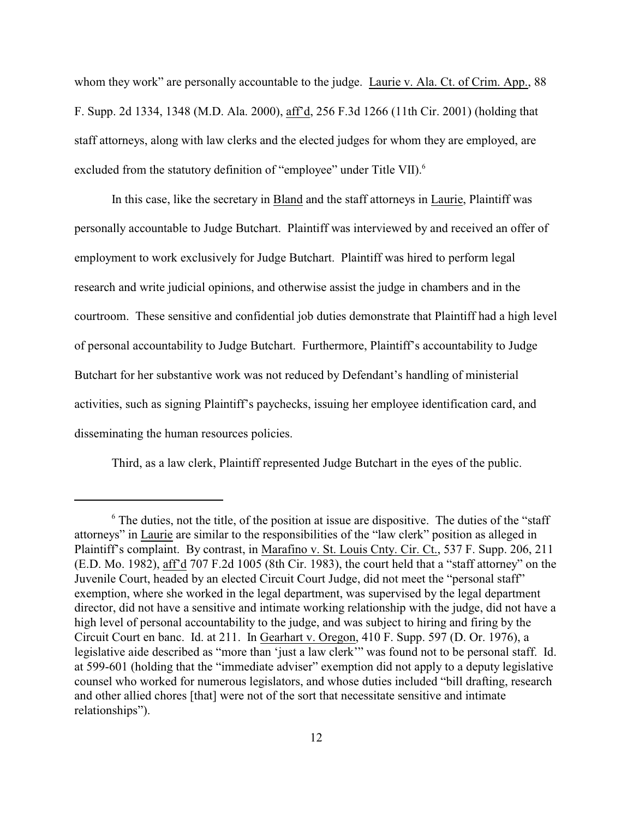whom they work" are personally accountable to the judge. Laurie v. Ala. Ct. of Crim. App., 88 F. Supp. 2d 1334, 1348 (M.D. Ala. 2000), aff'd, 256 F.3d 1266 (11th Cir. 2001) (holding that staff attorneys, along with law clerks and the elected judges for whom they are employed, are excluded from the statutory definition of "employee" under Title VII).<sup>6</sup>

In this case, like the secretary in Bland and the staff attorneys in Laurie, Plaintiff was personally accountable to Judge Butchart. Plaintiff was interviewed by and received an offer of employment to work exclusively for Judge Butchart. Plaintiff was hired to perform legal research and write judicial opinions, and otherwise assist the judge in chambers and in the courtroom. These sensitive and confidential job duties demonstrate that Plaintiff had a high level of personal accountability to Judge Butchart. Furthermore, Plaintiff's accountability to Judge Butchart for her substantive work was not reduced by Defendant's handling of ministerial activities, such as signing Plaintiff's paychecks, issuing her employee identification card, and disseminating the human resources policies.

Third, as a law clerk, Plaintiff represented Judge Butchart in the eyes of the public.

 $\delta$ . The duties, not the title, of the position at issue are dispositive. The duties of the "staff" attorneys" in Laurie are similar to the responsibilities of the "law clerk" position as alleged in Plaintiff's complaint. By contrast, in Marafino v. St. Louis Cnty. Cir. Ct., 537 F. Supp. 206, 211 (E.D. Mo. 1982), aff'd 707 F.2d 1005 (8th Cir. 1983), the court held that a "staff attorney" on the Juvenile Court, headed by an elected Circuit Court Judge, did not meet the "personal staff" exemption, where she worked in the legal department, was supervised by the legal department director, did not have a sensitive and intimate working relationship with the judge, did not have a high level of personal accountability to the judge, and was subject to hiring and firing by the Circuit Court en banc. Id. at 211. In Gearhart v. Oregon, 410 F. Supp. 597 (D. Or. 1976), a legislative aide described as "more than 'just a law clerk'" was found not to be personal staff. Id. at 599-601 (holding that the "immediate adviser" exemption did not apply to a deputy legislative counsel who worked for numerous legislators, and whose duties included "bill drafting, research and other allied chores [that] were not of the sort that necessitate sensitive and intimate relationships").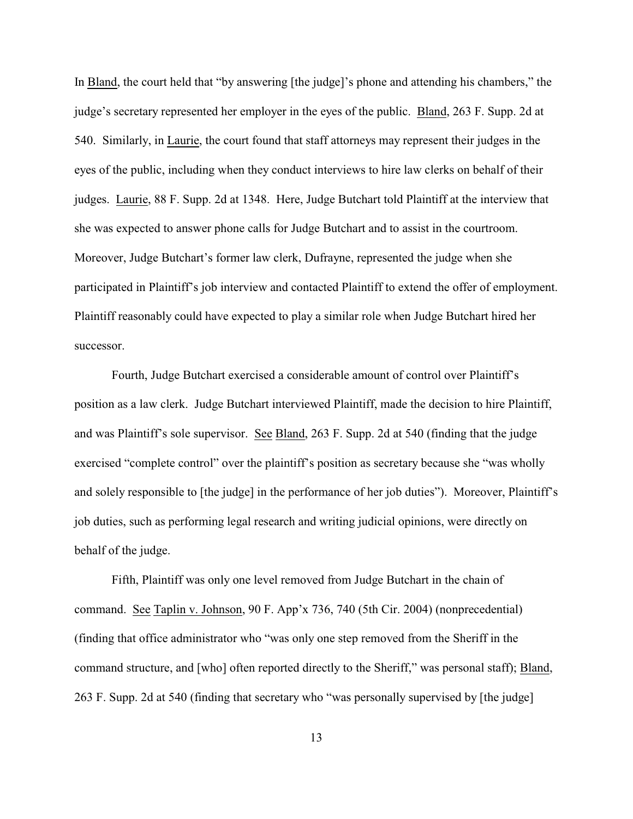In Bland, the court held that "by answering [the judge]'s phone and attending his chambers," the judge's secretary represented her employer in the eyes of the public. Bland, 263 F. Supp. 2d at 540. Similarly, in Laurie, the court found that staff attorneys may represent their judges in the eyes of the public, including when they conduct interviews to hire law clerks on behalf of their judges. Laurie, 88 F. Supp. 2d at 1348. Here, Judge Butchart told Plaintiff at the interview that she was expected to answer phone calls for Judge Butchart and to assist in the courtroom. Moreover, Judge Butchart's former law clerk, Dufrayne, represented the judge when she participated in Plaintiff's job interview and contacted Plaintiff to extend the offer of employment. Plaintiff reasonably could have expected to play a similar role when Judge Butchart hired her successor.

Fourth, Judge Butchart exercised a considerable amount of control over Plaintiff's position as a law clerk. Judge Butchart interviewed Plaintiff, made the decision to hire Plaintiff, and was Plaintiff's sole supervisor. See Bland, 263 F. Supp. 2d at 540 (finding that the judge exercised "complete control" over the plaintiff's position as secretary because she "was wholly and solely responsible to [the judge] in the performance of her job duties"). Moreover, Plaintiff's job duties, such as performing legal research and writing judicial opinions, were directly on behalf of the judge.

Fifth, Plaintiff was only one level removed from Judge Butchart in the chain of command. See Taplin v. Johnson, 90 F. App'x 736, 740 (5th Cir. 2004) (nonprecedential) (finding that office administrator who "was only one step removed from the Sheriff in the command structure, and [who] often reported directly to the Sheriff," was personal staff); Bland, 263 F. Supp. 2d at 540 (finding that secretary who "was personally supervised by [the judge]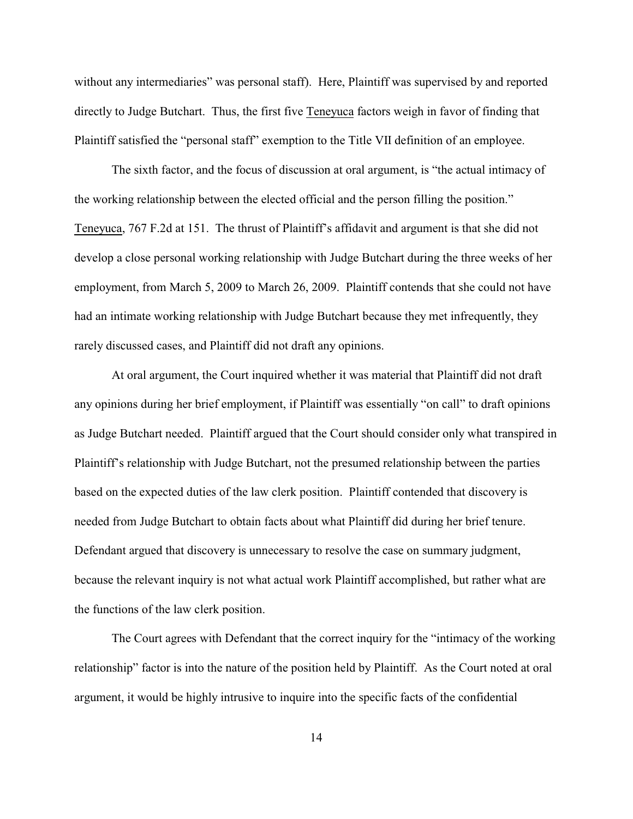without any intermediaries" was personal staff). Here, Plaintiff was supervised by and reported directly to Judge Butchart. Thus, the first five Teneyuca factors weigh in favor of finding that Plaintiff satisfied the "personal staff" exemption to the Title VII definition of an employee.

The sixth factor, and the focus of discussion at oral argument, is "the actual intimacy of the working relationship between the elected official and the person filling the position." Teneyuca, 767 F.2d at 151. The thrust of Plaintiff's affidavit and argument is that she did not develop a close personal working relationship with Judge Butchart during the three weeks of her employment, from March 5, 2009 to March 26, 2009. Plaintiff contends that she could not have had an intimate working relationship with Judge Butchart because they met infrequently, they rarely discussed cases, and Plaintiff did not draft any opinions.

At oral argument, the Court inquired whether it was material that Plaintiff did not draft any opinions during her brief employment, if Plaintiff was essentially "on call" to draft opinions as Judge Butchart needed. Plaintiff argued that the Court should consider only what transpired in Plaintiff's relationship with Judge Butchart, not the presumed relationship between the parties based on the expected duties of the law clerk position. Plaintiff contended that discovery is needed from Judge Butchart to obtain facts about what Plaintiff did during her brief tenure. Defendant argued that discovery is unnecessary to resolve the case on summary judgment, because the relevant inquiry is not what actual work Plaintiff accomplished, but rather what are the functions of the law clerk position.

The Court agrees with Defendant that the correct inquiry for the "intimacy of the working relationship" factor is into the nature of the position held by Plaintiff. As the Court noted at oral argument, it would be highly intrusive to inquire into the specific facts of the confidential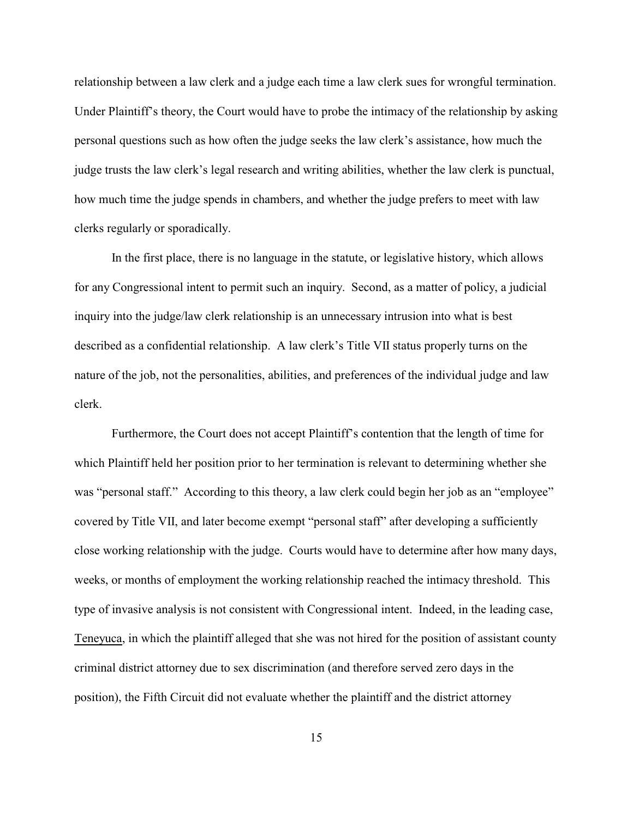relationship between a law clerk and a judge each time a law clerk sues for wrongful termination. Under Plaintiff's theory, the Court would have to probe the intimacy of the relationship by asking personal questions such as how often the judge seeks the law clerk's assistance, how much the judge trusts the law clerk's legal research and writing abilities, whether the law clerk is punctual, how much time the judge spends in chambers, and whether the judge prefers to meet with law clerks regularly or sporadically.

In the first place, there is no language in the statute, or legislative history, which allows for any Congressional intent to permit such an inquiry. Second, as a matter of policy, a judicial inquiry into the judge/law clerk relationship is an unnecessary intrusion into what is best described as a confidential relationship. A law clerk's Title VII status properly turns on the nature of the job, not the personalities, abilities, and preferences of the individual judge and law clerk.

Furthermore, the Court does not accept Plaintiff's contention that the length of time for which Plaintiff held her position prior to her termination is relevant to determining whether she was "personal staff." According to this theory, a law clerk could begin her job as an "employee" covered by Title VII, and later become exempt "personal staff" after developing a sufficiently close working relationship with the judge. Courts would have to determine after how many days, weeks, or months of employment the working relationship reached the intimacy threshold. This type of invasive analysis is not consistent with Congressional intent. Indeed, in the leading case, Teneyuca, in which the plaintiff alleged that she was not hired for the position of assistant county criminal district attorney due to sex discrimination (and therefore served zero days in the position), the Fifth Circuit did not evaluate whether the plaintiff and the district attorney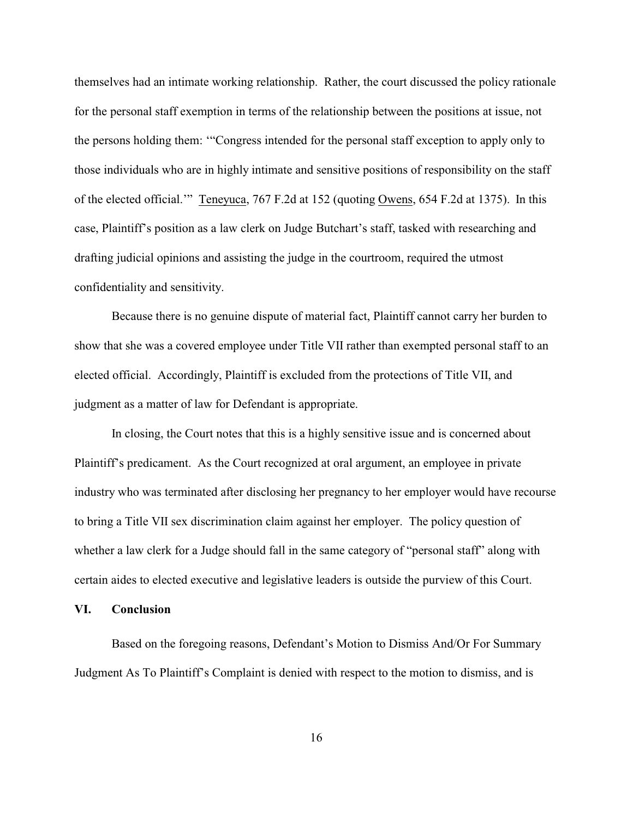themselves had an intimate working relationship. Rather, the court discussed the policy rationale for the personal staff exemption in terms of the relationship between the positions at issue, not the persons holding them: '"Congress intended for the personal staff exception to apply only to those individuals who are in highly intimate and sensitive positions of responsibility on the staff of the elected official.'" Teneyuca, 767 F.2d at 152 (quoting Owens, 654 F.2d at 1375). In this case, Plaintiff's position as a law clerk on Judge Butchart's staff, tasked with researching and drafting judicial opinions and assisting the judge in the courtroom, required the utmost confidentiality and sensitivity.

Because there is no genuine dispute of material fact, Plaintiff cannot carry her burden to show that she was a covered employee under Title VII rather than exempted personal staff to an elected official. Accordingly, Plaintiff is excluded from the protections of Title VII, and judgment as a matter of law for Defendant is appropriate.

In closing, the Court notes that this is a highly sensitive issue and is concerned about Plaintiff's predicament. As the Court recognized at oral argument, an employee in private industry who was terminated after disclosing her pregnancy to her employer would have recourse to bring a Title VII sex discrimination claim against her employer. The policy question of whether a law clerk for a Judge should fall in the same category of "personal staff" along with certain aides to elected executive and legislative leaders is outside the purview of this Court.

#### **VI. Conclusion**

Based on the foregoing reasons, Defendant's Motion to Dismiss And/Or For Summary Judgment As To Plaintiff's Complaint is denied with respect to the motion to dismiss, and is